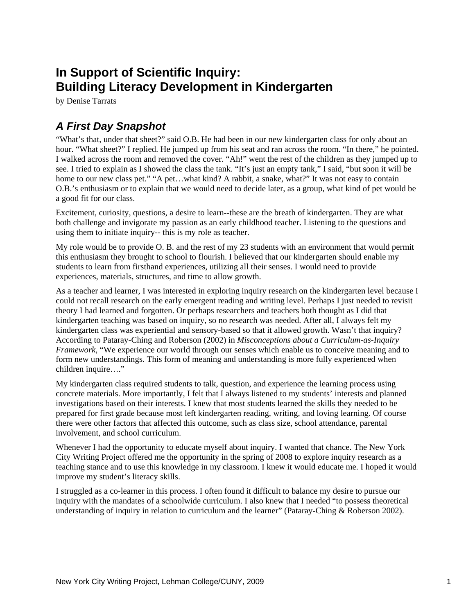# **In Support of Scientific Inquiry: Building Literacy Development in Kindergarten**

by Denise Tarrats

# *A First Day Snapshot*

"What's that, under that sheet?" said O.B. He had been in our new kindergarten class for only about an hour. "What sheet?" I replied. He jumped up from his seat and ran across the room. "In there," he pointed. I walked across the room and removed the cover. "Ah!" went the rest of the children as they jumped up to see. I tried to explain as I showed the class the tank. "It's just an empty tank," I said, "but soon it will be home to our new class pet." "A pet...what kind? A rabbit, a snake, what?" It was not easy to contain O.B.'s enthusiasm or to explain that we would need to decide later, as a group, what kind of pet would be a good fit for our class.

Excitement, curiosity, questions, a desire to learn--these are the breath of kindergarten. They are what both challenge and invigorate my passion as an early childhood teacher. Listening to the questions and using them to initiate inquiry-- this is my role as teacher.

My role would be to provide O. B. and the rest of my 23 students with an environment that would permit this enthusiasm they brought to school to flourish. I believed that our kindergarten should enable my students to learn from firsthand experiences, utilizing all their senses. I would need to provide experiences, materials, structures, and time to allow growth.

As a teacher and learner, I was interested in exploring inquiry research on the kindergarten level because I could not recall research on the early emergent reading and writing level. Perhaps I just needed to revisit theory I had learned and forgotten. Or perhaps researchers and teachers both thought as I did that kindergarten teaching was based on inquiry, so no research was needed. After all, I always felt my kindergarten class was experiential and sensory-based so that it allowed growth. Wasn't that inquiry? According to Pataray-Ching and Roberson (2002) in *Misconceptions about a Curriculum-as-Inquiry Framework*, "We experience our world through our senses which enable us to conceive meaning and to form new understandings. This form of meaning and understanding is more fully experienced when children inquire…."

My kindergarten class required students to talk, question, and experience the learning process using concrete materials. More importantly, I felt that I always listened to my students' interests and planned investigations based on their interests. I knew that most students learned the skills they needed to be prepared for first grade because most left kindergarten reading, writing, and loving learning. Of course there were other factors that affected this outcome, such as class size, school attendance, parental involvement, and school curriculum.

Whenever I had the opportunity to educate myself about inquiry. I wanted that chance. The New York City Writing Project offered me the opportunity in the spring of 2008 to explore inquiry research as a teaching stance and to use this knowledge in my classroom. I knew it would educate me. I hoped it would improve my student's literacy skills.

I struggled as a co-learner in this process. I often found it difficult to balance my desire to pursue our inquiry with the mandates of a schoolwide curriculum. I also knew that I needed "to possess theoretical understanding of inquiry in relation to curriculum and the learner" (Pataray-Ching & Roberson 2002).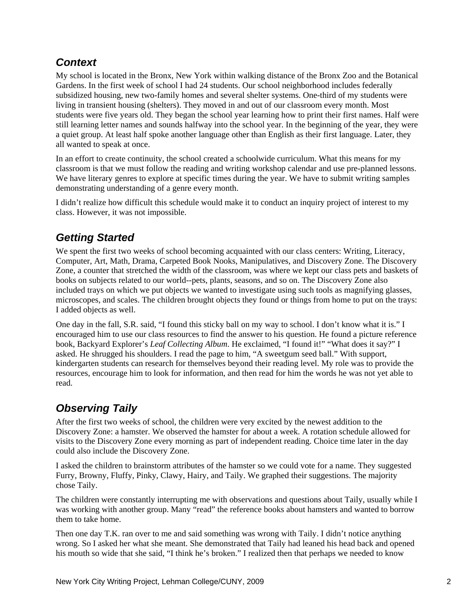# *Context*

My school is located in the Bronx, New York within walking distance of the Bronx Zoo and the Botanical Gardens. In the first week of school I had 24 students. Our school neighborhood includes federally subsidized housing, new two-family homes and several shelter systems. One-third of my students were living in transient housing (shelters). They moved in and out of our classroom every month. Most students were five years old. They began the school year learning how to print their first names. Half were still learning letter names and sounds halfway into the school year. In the beginning of the year, they were a quiet group. At least half spoke another language other than English as their first language. Later, they all wanted to speak at once.

In an effort to create continuity, the school created a schoolwide curriculum. What this means for my classroom is that we must follow the reading and writing workshop calendar and use pre-planned lessons. We have literary genres to explore at specific times during the year. We have to submit writing samples demonstrating understanding of a genre every month.

I didn't realize how difficult this schedule would make it to conduct an inquiry project of interest to my class. However, it was not impossible.

# *Getting Started*

We spent the first two weeks of school becoming acquainted with our class centers: Writing, Literacy, Computer, Art, Math, Drama, Carpeted Book Nooks, Manipulatives, and Discovery Zone. The Discovery Zone, a counter that stretched the width of the classroom, was where we kept our class pets and baskets of books on subjects related to our world--pets, plants, seasons, and so on. The Discovery Zone also included trays on which we put objects we wanted to investigate using such tools as magnifying glasses, microscopes, and scales. The children brought objects they found or things from home to put on the trays: I added objects as well.

One day in the fall, S.R. said, "I found this sticky ball on my way to school. I don't know what it is." I encouraged him to use our class resources to find the answer to his question. He found a picture reference book, Backyard Explorer's *Leaf Collecting Album*. He exclaimed, "I found it!" "What does it say?" I asked. He shrugged his shoulders. I read the page to him, "A sweetgum seed ball." With support, kindergarten students can research for themselves beyond their reading level. My role was to provide the resources, encourage him to look for information, and then read for him the words he was not yet able to read.

# *Observing Taily*

After the first two weeks of school, the children were very excited by the newest addition to the Discovery Zone: a hamster. We observed the hamster for about a week. A rotation schedule allowed for visits to the Discovery Zone every morning as part of independent reading. Choice time later in the day could also include the Discovery Zone.

I asked the children to brainstorm attributes of the hamster so we could vote for a name. They suggested Furry, Browny, Fluffy, Pinky, Clawy, Hairy, and Taily. We graphed their suggestions. The majority chose Taily.

The children were constantly interrupting me with observations and questions about Taily, usually while I was working with another group. Many "read" the reference books about hamsters and wanted to borrow them to take home.

Then one day T.K. ran over to me and said something was wrong with Taily. I didn't notice anything wrong. So I asked her what she meant. She demonstrated that Taily had leaned his head back and opened his mouth so wide that she said, "I think he's broken." I realized then that perhaps we needed to know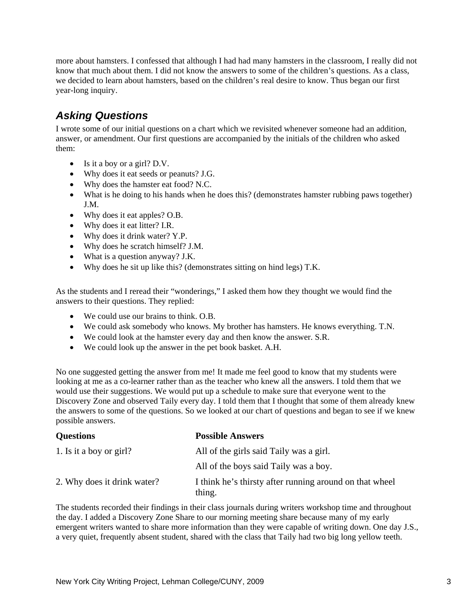more about hamsters. I confessed that although I had had many hamsters in the classroom, I really did not know that much about them. I did not know the answers to some of the children's questions. As a class, we decided to learn about hamsters, based on the children's real desire to know. Thus began our first year-long inquiry.

### *Asking Questions*

I wrote some of our initial questions on a chart which we revisited whenever someone had an addition, answer, or amendment. Our first questions are accompanied by the initials of the children who asked them:

- Is it a boy or a girl? D.V.
- Why does it eat seeds or peanuts? J.G.
- Why does the hamster eat food? N.C.
- What is he doing to his hands when he does this? (demonstrates hamster rubbing paws together) J.M.
- Why does it eat apples? O.B.
- Why does it eat litter? I.R.
- Why does it drink water? Y.P.
- Why does he scratch himself? J.M.
- What is a question anyway? J.K.
- Why does he sit up like this? (demonstrates sitting on hind legs) T.K.

As the students and I reread their "wonderings," I asked them how they thought we would find the answers to their questions. They replied:

- We could use our brains to think. O.B.
- We could ask somebody who knows. My brother has hamsters. He knows everything. T.N.
- We could look at the hamster every day and then know the answer. S.R.
- We could look up the answer in the pet book basket. A.H.

No one suggested getting the answer from me! It made me feel good to know that my students were looking at me as a co-learner rather than as the teacher who knew all the answers. I told them that we would use their suggestions. We would put up a schedule to make sure that everyone went to the Discovery Zone and observed Taily every day. I told them that I thought that some of them already knew the answers to some of the questions. So we looked at our chart of questions and began to see if we knew possible answers.

| <b>Questions</b>            | <b>Possible Answers</b>                                           |
|-----------------------------|-------------------------------------------------------------------|
| 1. Is it a boy or girl?     | All of the girls said Taily was a girl.                           |
|                             | All of the boys said Taily was a boy.                             |
| 2. Why does it drink water? | I think he's thirsty after running around on that wheel<br>thing. |

The students recorded their findings in their class journals during writers workshop time and throughout the day. I added a Discovery Zone Share to our morning meeting share because many of my early emergent writers wanted to share more information than they were capable of writing down. One day J.S., a very quiet, frequently absent student, shared with the class that Taily had two big long yellow teeth.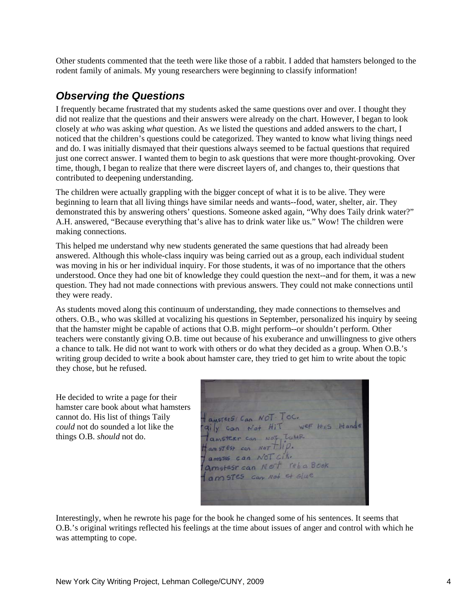Other students commented that the teeth were like those of a rabbit. I added that hamsters belonged to the rodent family of animals. My young researchers were beginning to classify information!

#### *Observing the Questions*

I frequently became frustrated that my students asked the same questions over and over. I thought they did not realize that the questions and their answers were already on the chart. However, I began to look closely at *who* was asking *what* question. As we listed the questions and added answers to the chart, I noticed that the children's questions could be categorized. They wanted to know what living things need and do. I was initially dismayed that their questions always seemed to be factual questions that required just one correct answer. I wanted them to begin to ask questions that were more thought-provoking. Over time, though, I began to realize that there were discreet layers of, and changes to, their questions that contributed to deepening understanding.

The children were actually grappling with the bigger concept of what it is to be alive. They were beginning to learn that all living things have similar needs and wants--food, water, shelter, air. They demonstrated this by answering others' questions. Someone asked again, "Why does Taily drink water?" A.H. answered, "Because everything that's alive has to drink water like us." Wow! The children were making connections.

This helped me understand why new students generated the same questions that had already been answered. Although this whole-class inquiry was being carried out as a group, each individual student was moving in his or her individual inquiry. For those students, it was of no importance that the others understood. Once they had one bit of knowledge they could question the next--and for them, it was a new question. They had not made connections with previous answers. They could not make connections until they were ready.

As students moved along this continuum of understanding, they made connections to themselves and others. O.B., who was skilled at vocalizing his questions in September, personalized his inquiry by seeing that the hamster might be capable of actions that O.B. might perform--or shouldn't perform. Other teachers were constantly giving O.B. time out because of his exuberance and unwillingness to give others a chance to talk. He did not want to work with others or do what they decided as a group. When O.B.'s writing group decided to write a book about hamster care, they tried to get him to write about the topic they chose, but he refused.

He decided to write a page for their hamster care book about what hamsters cannot do. His list of things Taily *could* not do sounded a lot like the things O.B. *should* not do.

ansters Can NOT TOC. aily can Not Hit wer His Hands Tanstern can NOT, LUMB  $H$  am  $57$  est can Not  $T \cup P$ . amstes can Not cik. amstest can Not reba Book am STES can Not et Glue

Interestingly, when he rewrote his page for the book he changed some of his sentences. It seems that O.B.'s original writings reflected his feelings at the time about issues of anger and control with which he was attempting to cope.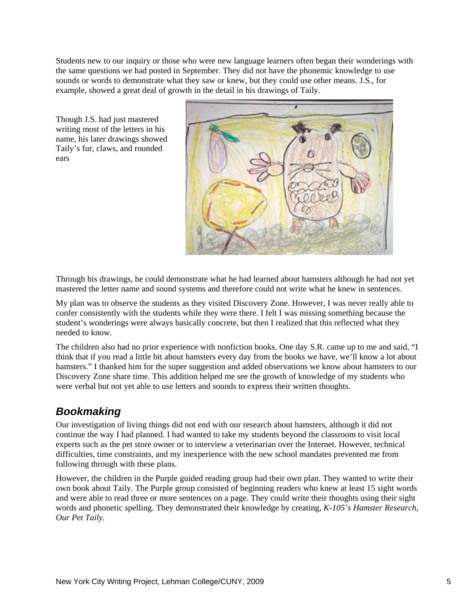Students new to our inquiry or those who were new language learners often began their wonderings with the same questions we had posted in September. They did not have the phonemic knowledge to use sounds or words to demonstrate what they saw or knew, but they could use other means. J.S., for example, showed a great deal of growth in the detail in his drawings of Taily.

Though J.S. had just mastered writing most of the letters in his name, his later drawings showed Taily's fur, claws, and rounded ears



Through his drawings, he could demonstrate what he had learned about hamsters although he had not yet mastered the letter name and sound systems and therefore could not write what he knew in sentences.

My plan was to observe the students as they visited Discovery Zone. However, I was never really able to confer consistently with the students while they were there. I felt I was missing something because the student's wonderings were always basically concrete, but then I realized that this reflected what they needed to know.

The children also had no prior experience with nonfiction books. One day S.R. came up to me and said, "I think that if you read a little bit about hamsters every day from the books we have, we'll know a lot about hamsters." I thanked him for the super suggestion and added observations we know about hamsters to our Discovery Zone share time. This addition helped me see the growth of knowledge of my students who were verbal but not yet able to use letters and sounds to express their written thoughts.

# *Bookmaking*

Our investigation of living things did not end with our research about hamsters, although it did not continue the way I had planned. I had wanted to take my students beyond the classroom to visit local experts such as the pet store owner or to interview a veterinarian over the Internet. However, technical difficulties, time constraints, and my inexperience with the new school mandates prevented me from following through with these plans.

However, the children in the Purple guided reading group had their own plan. They wanted to write their own book about Taily. The Purple group consisted of beginning readers who knew at least 15 sight words and were able to read three or more sentences on a page. They could write their thoughts using their sight words and phonetic spelling. They demonstrated their knowledge by creating, *K-105's Hamster Research, Our Pet Taily.*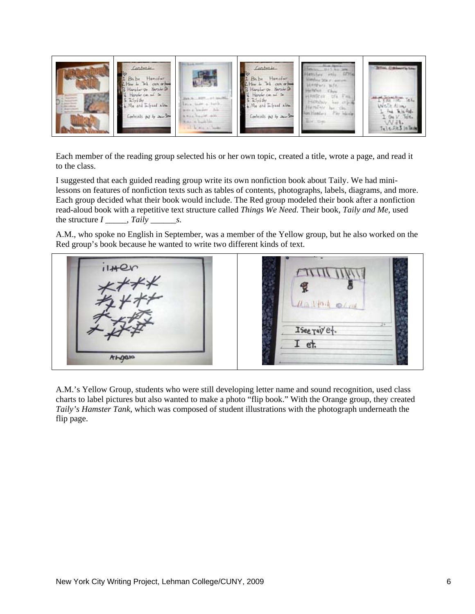

Each member of the reading group selected his or her own topic, created a title, wrote a page, and read it to the class.

I suggested that each guided reading group write its own nonfiction book about Taily. We had minilessons on features of nonfiction texts such as tables of contents, photographs, labels, diagrams, and more. Each group decided what their book would include. The Red group modeled their book after a nonfiction read-aloud book with a repetitive text structure called *Things We Need*. Their book, *Taily and Me,* used the structure  $I \_$ , Taily  $\_$ s.

A.M., who spoke no English in September, was a member of the Yellow group, but he also worked on the Red group's book because he wanted to write two different kinds of text.



A.M.'s Yellow Group, students who were still developing letter name and sound recognition, used class charts to label pictures but also wanted to make a photo "flip book." With the Orange group, they created *Taily's Hamster Tank*, which was composed of student illustrations with the photograph underneath the flip page.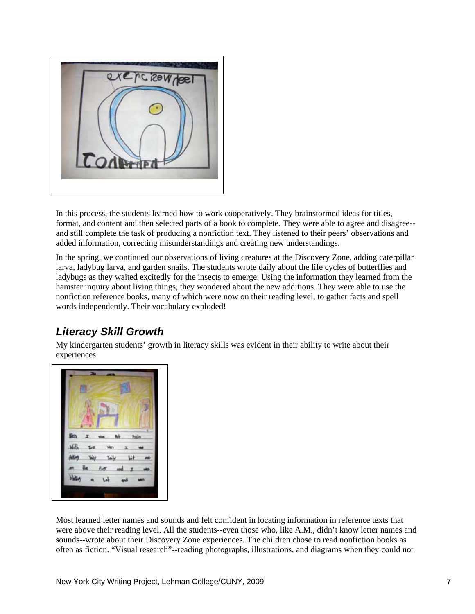

In this process, the students learned how to work cooperatively. They brainstormed ideas for titles, format, and content and then selected parts of a book to complete. They were able to agree and disagree- and still complete the task of producing a nonfiction text. They listened to their peers' observations and added information, correcting misunderstandings and creating new understandings.

In the spring, we continued our observations of living creatures at the Discovery Zone, adding caterpillar larva, ladybug larva, and garden snails. The students wrote daily about the life cycles of butterflies and ladybugs as they waited excitedly for the insects to emerge. Using the information they learned from the hamster inquiry about living things, they wondered about the new additions. They were able to use the nonfiction reference books, many of which were now on their reading level, to gather facts and spell words independently. Their vocabulary exploded!

# *Literacy Skill Growth*

My kindergarten students' growth in literacy skills was evident in their ability to write about their experiences



Most learned letter names and sounds and felt confident in locating information in reference texts that were above their reading level. All the students--even those who, like A.M., didn't know letter names and sounds--wrote about their Discovery Zone experiences. The children chose to read nonfiction books as often as fiction. "Visual research"--reading photographs, illustrations, and diagrams when they could not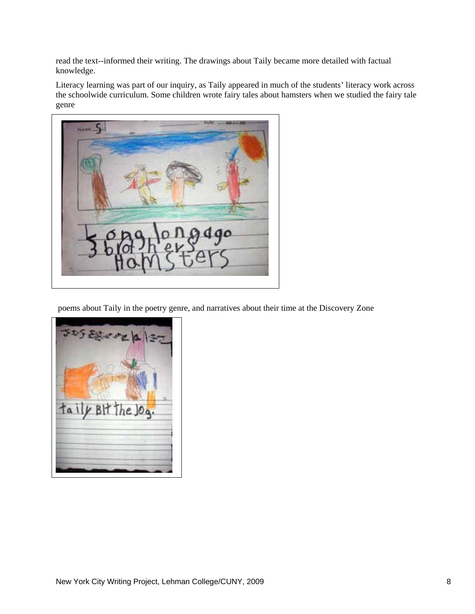read the text--informed their writing. The drawings about Taily became more detailed with factual knowledge.

Literacy learning was part of our inquiry, as Taily appeared in much of the students' literacy work across the schoolwide curriculum. Some children wrote fairy tales about hamsters when we studied the fairy tale genre



poems about Taily in the poetry genre, and narratives about their time at the Discovery Zone